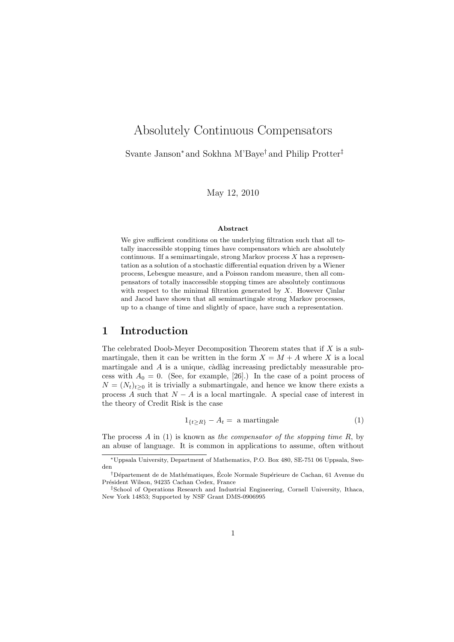# Absolutely Continuous Compensators

Svante Janson<sup>∗</sup> and Sokhna M'Baye† and Philip Protter‡

May 12, 2010

#### Abstract

We give sufficient conditions on the underlying filtration such that all totally inaccessible stopping times have compensators which are absolutely continuous. If a semimartingale, strong Markov process  $X$  has a representation as a solution of a stochastic differential equation driven by a Wiener process, Lebesgue measure, and a Poisson random measure, then all compensators of totally inaccessible stopping times are absolutely continuous with respect to the minimal filtration generated by  $X$ . However Cinlar and Jacod have shown that all semimartingale strong Markov processes, up to a change of time and slightly of space, have such a representation.

## 1 Introduction

The celebrated Doob-Meyer Decomposition Theorem states that if  $X$  is a submartingale, then it can be written in the form  $X = M + A$  where X is a local martingale and  $A$  is a unique, càdlàg increasing predictably measurable process with  $A_0 = 0$ . (See, for example, [26].) In the case of a point process of  $N = (N_t)_{t>0}$  it is trivially a submartingale, and hence we know there exists a process A such that  $N - A$  is a local martingale. A special case of interest in the theory of Credit Risk is the case

$$
1_{\{t \ge R\}} - A_t = \text{ a martingale} \tag{1}
$$

The process  $A$  in (1) is known as the compensator of the stopping time  $R$ , by an abuse of language. It is common in applications to assume, often without

<sup>∗</sup>Uppsala University, Department of Mathematics, P.O. Box 480, SE-751 06 Uppsala, Sweden

<sup>&</sup>lt;sup>†</sup>Département de de Mathématiques, École Normale Supérieure de Cachan, 61 Avenue du Président Wilson, 94235 Cachan Cedex, France

<sup>‡</sup>School of Operations Research and Industrial Engineering, Cornell University, Ithaca, New York 14853; Supported by NSF Grant DMS-0906995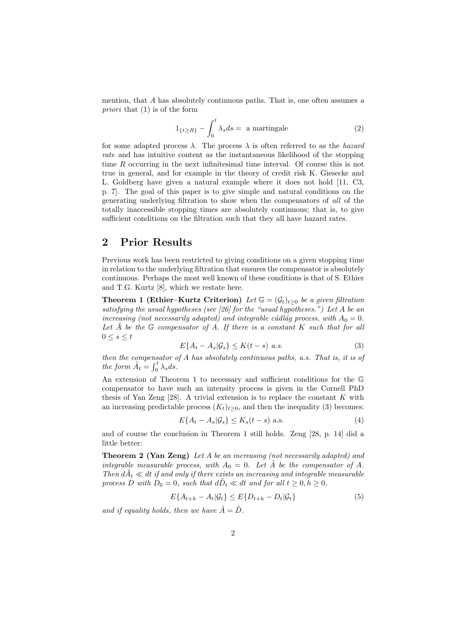mention, that A has absolutely continuous paths. That is, one often assumes  $a$ priori that (1) is of the form

$$
1_{\{t \ge R\}} - \int_0^t \lambda_s ds = \text{ a martingale}
$$
 (2)

for some adapted process  $\lambda$ . The process  $\lambda$  is often referred to as the *hazard* rate and has intuitive content as the instantaneous likelihood of the stopping time R occurring in the next infinitesimal time interval. Of course this is not true in general, and for example in the theory of credit risk K. Giesecke and L. Goldberg have given a natural example where it does not hold [11, C3, p. 7]. The goal of this paper is to give simple and natural conditions on the generating underlying filtration to show when the compensators of all of the totally inaccessible stopping times are absolutely continuous; that is, to give sufficient conditions on the filtration such that they all have hazard rates.

#### 2 Prior Results

Previous work has been restricted to giving conditions on a given stopping time in relation to the underlying filtration that ensures the compensator is absolutely continuous. Perhaps the most well known of these conditions is that of S. Ethier and T.G. Kurtz [8], which we restate here.

**Theorem 1 (Ethier–Kurtz Criterion)** Let  $\mathbb{G} = (\mathcal{G}_t)_{t>0}$  be a given filtration satisfying the usual hypotheses (see [26] for the "usual hypotheses.") Let A be an increasing (not necessarily adapted) and integrable cádlág process, with  $A_0 = 0$ . Let  $\tilde{A}$  be the  $\mathbb G$  compensator of  $A$ . If there is a constant  $K$  such that for all  $0\leq s\leq t$ 

$$
E\{A_t - A_s | \mathcal{G}_s\} \le K(t - s) \quad a.s. \tag{3}
$$

then the compensator of A has absolutely continuous paths, a.s. That is, it is of the form  $\tilde{A}_t = \int_0^t \lambda_s ds$ .

An extension of Theorem 1 to necessary and sufficient conditions for the G compensator to have such an intensity process is given in the Cornell PhD thesis of Yan Zeng  $[28]$ . A trivial extension is to replace the constant K with an increasing predictable process  $(K_t)_{t>0}$ , and then the inequality (3) becomes:

$$
E\{A_t - A_s | \mathcal{G}_s\} \le K_s(t - s) \text{ a.s.}
$$
\n<sup>(4)</sup>

and of course the conclusion in Theorem 1 still holds. Zeng [28, p. 14] did a little better:

Theorem 2 (Yan Zeng) Let A be an increasing (not necessarily adapted) and integrable measurable process, with  $A_0 = 0$ . Let  $\tilde{A}$  be the compensator of A. Then  $d\tilde{A}_t \ll dt$  if and only if there exists an increasing and integrable measurable process D with  $D_0 = 0$ , such that  $d\tilde{D}_t \ll dt$  and for all  $t \geq 0, h \geq 0$ ,

$$
E\{A_{t+h} - A_t | \mathcal{G}_t\} \le E\{D_{t+h} - D_t | \mathcal{G}_t\} \tag{5}
$$

and if equality holds, then we have  $\tilde{A} = \tilde{D}$ .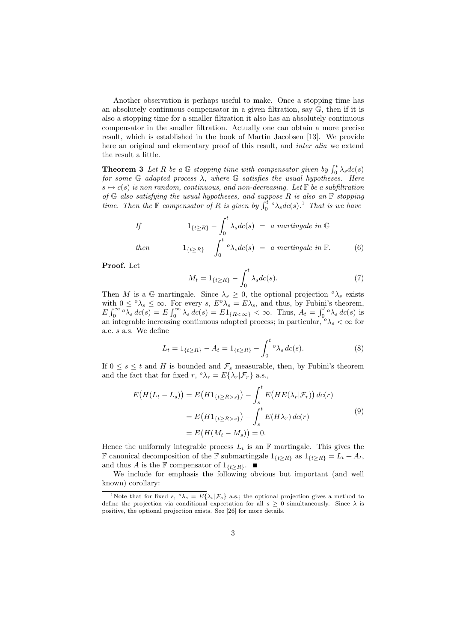Another observation is perhaps useful to make. Once a stopping time has an absolutely continuous compensator in a given filtration, say G, then if it is also a stopping time for a smaller filtration it also has an absolutely continuous compensator in the smaller filtration. Actually one can obtain a more precise result, which is established in the book of Martin Jacobsen [13]. We provide here an original and elementary proof of this result, and inter alia we extend the result a little.

**Theorem 3** Let R be a G stopping time with compensator given by  $\int_0^t \lambda_s dc(s)$ for some  $G$  adapted process  $\lambda$ , where  $G$  satisfies the usual hypotheses. Here  $s \mapsto c(s)$  is non random, continuous, and non-decreasing. Let F be a subfiltration of  $G$  also satisfying the usual hypotheses, and suppose  $R$  is also an  $F$  stopping time. Then the  $\mathbb F$  compensator of R is given by  $\int_0^{t} {\circ} \lambda_s d c(s)$ .<sup>1</sup> That is we have

If 
$$
1_{\{t \ge R\}} - \int_0^t \lambda_s dc(s) = a \text{ martingale in } \mathbb{G}
$$
  
then  $1_{\{t \ge R\}} - \int_0^t {}^o \lambda_s dc(s) = a \text{ martingale in } \mathbb{F}.$  (6)

Proof. Let

$$
M_t = 1_{\{t \ge R\}} - \int_0^t \lambda_s dc(s). \tag{7}
$$

Then M is a G martingale. Since  $\lambda_s \geq 0$ , the optional projection  $\lambda_s$  exists with  $0 \leq \alpha_{\lambda_s} \leq \infty$ . For every s,  $E^{\alpha} \lambda_s = E \lambda_s$ , and thus, by Fubini's theorem,  $E \int_0^\infty \overline{\delta s} \, d\varepsilon(s) = E \int_0^\infty \overline{\delta s} \, d\varepsilon(s) = E1_{\{R < \infty\}} < \infty$ . Thus,  $A_t = \int_0^t \overline{\delta s} \, d\varepsilon(s)$  is an integrable increasing continuous adapted process; in particular,  $\delta \lambda_s < \infty$  for a.e. s a.s. We define

$$
L_t = 1_{\{t \ge R\}} - A_t = 1_{\{t \ge R\}} - \int_0^t \, \, \partial s \, \, dc(s). \tag{8}
$$

If  $0 \leq s \leq t$  and H is bounded and  $\mathcal{F}_s$  measurable, then, by Fubini's theorem and the fact that for fixed  $r, \,^o\lambda_r = E\{\lambda_r|\mathcal{F}_r\}$  a.s.,

$$
E\big(H(L_t - L_s)\big) = E\big(H1_{\{t \ge R > s\}}\big) - \int_s^t E\big(HE(\lambda_r|\mathcal{F}_r)\big) \, dc(r)
$$
  

$$
= E\big(H1_{\{t \ge R > s\}}\big) - \int_s^t E\big(H\lambda_r\big) \, dc(r)
$$
  

$$
= E\big(H(M_t - M_s)\big) = 0.
$$
 (9)

Hence the uniformly integrable process  $L_t$  is an F martingale. This gives the **F** canonical decomposition of the **F** submartingale  $1_{\{t≥R\}}$  as  $1_{\{t≥R\}} = L_t + A_t$ , and thus A is the F compensator of  $1_{\{t>R\}}$ .

We include for emphasis the following obvious but important (and well known) corollary:

<sup>&</sup>lt;sup>1</sup>Note that for fixed s,  $\partial \lambda_s = E\{\lambda_s | \mathcal{F}_s\}$  a.s.; the optional projection gives a method to define the projection via conditional expectation for all  $s \geq 0$  simultaneously. Since  $\lambda$  is positive, the optional projection exists. See [26] for more details.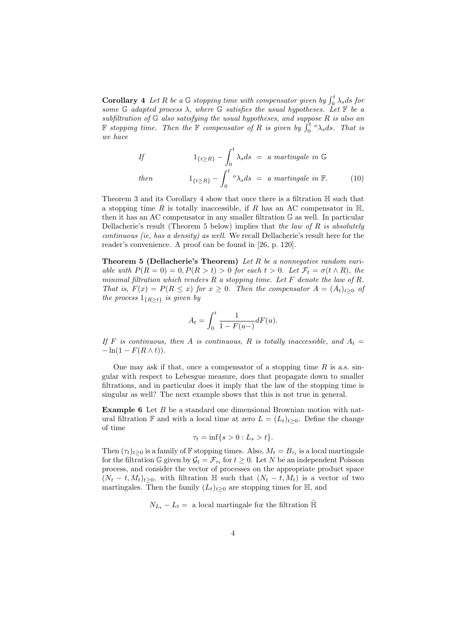**Corollary 4** Let R be a G stopping time with compensator given by  $\int_0^t \lambda_s ds$  for some  $G$  adapted process  $\lambda$ , where  $G$  satisfies the usual hypotheses. Let  $F$  be a subfiltration of  $G$  also satisfying the usual hypotheses, and suppose  $R$  is also an **F** stopping time. Then the **F** compensator of R is given by  $\int_0^t {\infty} \lambda_s ds$ . That is we have

If 
$$
1_{\{t \ge R\}} - \int_0^t \lambda_s ds = a \text{ martingale in } \mathbb{G}
$$
  
then  $1_{\{t \ge R\}} - \int_0^t {}^o \lambda_s ds = a \text{ martingale in } \mathbb{F}.$  (10)

Theorem 3 and its Corollary 4 show that once there is a filtration H such that a stopping time R is totally inaccessible, if R has an AC compensator in  $\mathbb{H}$ , then it has an AC compensator in any smaller filtration G as well. In particular Dellacherie's result (Theorem 5 below) implies that the law of R is absolutely continuous (ie, has a density) as well. We recall Dellacherie's result here for the reader's convenience. A proof can be found in [26, p. 120].

**Theorem 5 (Dellacherie's Theorem)** Let  $R$  be a nonnegative random variable with  $P(R = 0) = 0, P(R > t) > 0$  for each  $t > 0$ . Let  $\mathcal{F}_t = \sigma(t \wedge R)$ , the minimal filtration which renders  $R$  a stopping time. Let  $F$  denote the law of  $R$ . That is,  $F(x) = P(R \le x)$  for  $x \ge 0$ . Then the compensator  $A = (A_t)_{t>0}$  of the process  $1_{\{R>t\}}$  is given by

$$
A_t = \int_0^t \frac{1}{1 - F(u^-)} dF(u).
$$

If F is continuous, then A is continuous, R is totally inaccessible, and  $A_t =$  $-\ln(1 - F(R \wedge t)).$ 

One may ask if that, once a compensator of a stopping time  $R$  is a.s. singular with respect to Lebesgue measure, does that propagate down to smaller filtrations, and in particular does it imply that the law of the stopping time is singular as well? The next example shows that this is not true in general.

Example 6 Let B be a standard one dimensional Brownian motion with natural filtration F and with a local time at zero  $L = (L_t)_{t>0}$ . Define the change of time

$$
\tau_t = \inf\{s > 0 : L_s > t\}.
$$

Then  $(\tau_t)_{t\geq0}$  is a family of F stopping times. Also,  $M_t = B_{\tau_t}$  is a local martingale for the filtration G given by  $\mathcal{G}_t = \mathcal{F}_{\tau_t}$  for  $t \geq 0$ . Let N be an independent Poisson process, and consider the vector of processes on the appropriate product space  $(N_t - t, M_t)_{t \geq 0}$ , with filtration H such that  $(N_t - t, M_t)$  is a vector of two martingales. Then the family  $(L_t)_{t>0}$  are stopping times for  $\mathbb{H}$ , and

 $N_{L_t} - L_t =$  a local martingale for the filtration  $\overline{H}$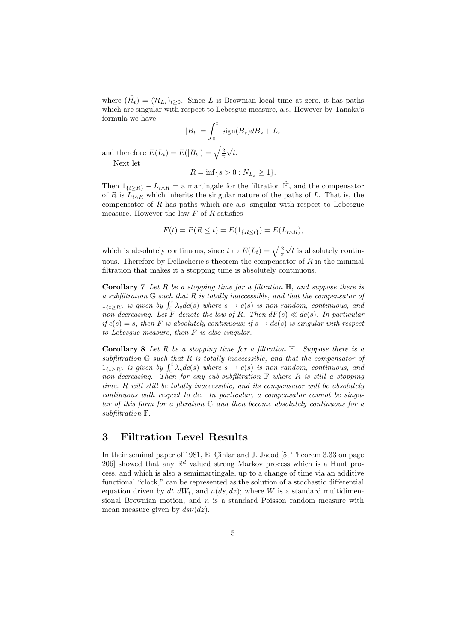where  $(\tilde{\mathcal{H}}_t) = (\mathcal{H}_{L_t})_{t \geq 0}$ . Since L is Brownian local time at zero, it has paths which are singular with respect to Lebesgue measure, a.s. However by Tanaka's formula we have

$$
|B_t| = \int_0^t \text{sign}(B_s) dB_s + L_t
$$

$$
\mathcal{E}(|B_t|) = \sqrt{\frac{2}{\pi}} \sqrt{t}.
$$

and therefore  $E(L_t) = E(|B_t|) = \sqrt{\frac{2}{\pi}}$ Next let

$$
R = \inf\{s > 0 : N_{L_s} \ge 1\}.
$$

Then  $1_{\{t\geq R\}} - L_{t\wedge R} =$  a martingale for the filtration  $\tilde{H}$ , and the compensator of R is  $L_{t\wedge R}$  which inherits the singular nature of the paths of L. That is, the compensator of  $R$  has paths which are a.s. singular with respect to Lebesgue measure. However the law  $F$  of  $R$  satisfies

$$
F(t) = P(R \le t) = E(1_{\{R \le t\}}) = E(L_{t \wedge R}),
$$

which is absolutely continuous, since  $t \mapsto E(L_t) = \sqrt{\frac{2}{\pi}}$ √  $t$  is absolutely continuous. Therefore by Dellacherie's theorem the compensator of  $R$  in the minimal filtration that makes it a stopping time is absolutely continuous.

**Corollary 7** Let R be a stopping time for a filtration  $\mathbb{H}$ , and suppose there is a subfiltration  $G$  such that  $R$  is totally inaccessible, and that the compensator of  $1_{\{t\geq R\}}$  is given by  $\int_0^t \lambda_s d c(s)$  where  $s \mapsto c(s)$  is non random, continuous, and non-decreasing. Let F denote the law of R. Then  $dF(s) \ll dc(s)$ . In particular if  $c(s) = s$ , then F is absolutely continuous; if  $s \mapsto dc(s)$  is singular with respect to Lebesgue measure, then F is also singular.

**Corollary 8** Let R be a stopping time for a filtration  $\mathbb{H}$ . Suppose there is a subfiltration  $G$  such that  $R$  is totally inaccessible, and that the compensator of  $1_{\{t\geq R\}}$  is given by  $\int_0^t \lambda_s d c(s)$  where  $s \mapsto c(s)$  is non random, continuous, and non-decreasing. Then for any sub-subfiltration  $\mathbb F$  where  $R$  is still a stopping time,  $R$  will still be totally inaccessible, and its compensator will be absolutely continuous with respect to dc. In particular, a compensator cannot be singular of this form for a filtration G and then become absolutely continuous for a subfiltration F.

### 3 Filtration Level Results

In their seminal paper of 1981, E. Cinlar and J. Jacod  $[5,$  Theorem 3.33 on page 206] showed that any  $\mathbb{R}^d$  valued strong Markov process which is a Hunt process, and which is also a semimartingale, up to a change of time via an additive functional "clock," can be represented as the solution of a stochastic differential equation driven by  $dt, dW_t$ , and  $n(ds, dz)$ ; where W is a standard multidimensional Brownian motion, and  $n$  is a standard Poisson random measure with mean measure given by  $ds\nu(dz)$ .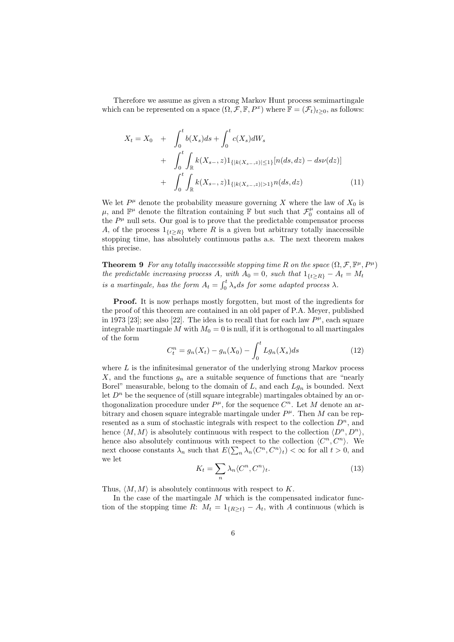Therefore we assume as given a strong Markov Hunt process semimartingale which can be represented on a space  $(\Omega, \mathcal{F}, \mathbb{F}, P^x)$  where  $\mathbb{F} = (\mathcal{F}_t)_{t \geq 0}$ , as follows:

$$
X_{t} = X_{0} + \int_{0}^{t} b(X_{s})ds + \int_{0}^{t} c(X_{s})dW_{s}
$$
  
+ 
$$
\int_{0}^{t} \int_{\mathbb{R}} k(X_{s-}, z)1_{\{|k(X_{s-}, z)| \leq 1\}} [n(ds, dz) - ds\nu(dz)]
$$
  
+ 
$$
\int_{0}^{t} \int_{\mathbb{R}} k(X_{s-}, z)1_{\{|k(X_{s-}, z)| > 1\}} n(ds, dz)
$$
(11)

We let  $P^{\mu}$  denote the probability measure governing X where the law of  $X_0$  is  $\mu$ , and  $\mathbb{F}^{\mu}$  denote the filtration containing  $\mathbb{F}$  but such that  $\mathcal{F}_0^{\mu}$  contains all of the  $P^{\mu}$  null sets. Our goal is to prove that the predictable compensator process A, of the process  $1_{\{t\geq R\}}$  where R is a given but arbitrary totally inaccessible stopping time, has absolutely continuous paths a.s. The next theorem makes this precise.

**Theorem 9** For any totally inaccessible stopping time R on the space  $(\Omega, \mathcal{F}, \mathbb{F}^{\mu}, P^{\mu})$ the predictable increasing process A, with  $A_0 = 0$ , such that  $1_{\{t \geq R\}} - A_t = M_t$ is a martingale, has the form  $A_t = \int_0^t \lambda_s ds$  for some adapted process  $\lambda$ .

Proof. It is now perhaps mostly forgotten, but most of the ingredients for the proof of this theorem are contained in an old paper of P.A. Meyer, published in 1973 [23]; see also [22]. The idea is to recall that for each law  $P^{\mu}$ , each square integrable martingale M with  $M_0 = 0$  is null, if it is orthogonal to all martingales of the form

$$
C_t^n = g_n(X_t) - g_n(X_0) - \int_0^t Lg_n(X_s)ds
$$
\n(12)

where  $L$  is the infinitesimal generator of the underlying strong Markov process  $X$ , and the functions  $g_n$  are a suitable sequence of functions that are "nearly Borel" measurable, belong to the domain of  $L$ , and each  $Lg_n$  is bounded. Next let  $D<sup>n</sup>$  be the sequence of (still square integrable) martingales obtained by an orthogonalization procedure under  $P^{\mu}$ , for the sequence  $C^{n}$ . Let M denote an arbitrary and chosen square integrable martingale under  $P^{\mu}$ . Then M can be represented as a sum of stochastic integrals with respect to the collection  $D<sup>n</sup>$ , and hence  $\langle M, M \rangle$  is absolutely continuous with respect to the collection  $\langle D^n, D^n \rangle$ , hence also absolutely continuous with respect to the collection  $\langle C^n, C^n \rangle$ . We next choose constants  $\lambda_n$  such that  $E(\sum_n \lambda_n \langle C^n, C^n \rangle_t) < \infty$  for all  $t > 0$ , and we let

$$
K_t = \sum_n \lambda_n \langle C^n, C^n \rangle_t. \tag{13}
$$

Thus,  $\langle M, M \rangle$  is absolutely continuous with respect to K.

In the case of the martingale  $M$  which is the compensated indicator function of the stopping time R:  $M_t = 1_{\{R\geq t\}} - A_t$ , with A continuous (which is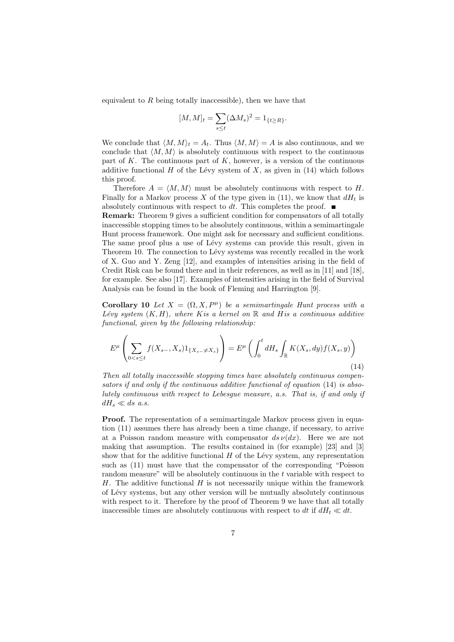equivalent to  $R$  being totally inaccessible), then we have that

$$
[M,M]_t=\sum_{s\leq t}(\Delta M_s)^2=1_{\{t\geq R\}}.
$$

We conclude that  $\langle M, M \rangle_t = A_t$ . Thus  $\langle M, M \rangle = A$  is also continuous, and we conclude that  $\langle M, M \rangle$  is absolutely continuous with respect to the continuous part of  $K$ . The continuous part of  $K$ , however, is a version of the continuous additive functional  $H$  of the Lévy system of  $X$ , as given in (14) which follows this proof.

Therefore  $A = \langle M, M \rangle$  must be absolutely continuous with respect to H. Finally for a Markov process X of the type given in (11), we know that  $dH_t$  is absolutely continuous with respect to dt. This completes the proof.  $\blacksquare$ 

Remark: Theorem 9 gives a sufficient condition for compensators of all totally inaccessible stopping times to be absolutely continuous, within a semimartingale Hunt process framework. One might ask for necessary and sufficient conditions. The same proof plus a use of Lévy systems can provide this result, given in Theorem 10. The connection to Lévy systems was recently recalled in the work of X. Guo and Y. Zeng [12], and examples of intensities arising in the field of Credit Risk can be found there and in their references, as well as in [11] and [18], for example. See also [17]. Examples of intensities arising in the field of Survival Analysis can be found in the book of Fleming and Harrington [9].

Corollary 10 Let  $X = (\Omega, X, P^{\mu})$  be a semimartingale Hunt process with a Lévy system  $(K, H)$ , where K is a kernel on R and H is a continuous additive functional, given by the following relationship:

$$
E^{\mu}\left(\sum_{0\n(14)
$$

Then all totally inaccessible stopping times have absolutely continuous compensators if and only if the continuous additive functional of equation (14) is absolutely continuous with respect to Lebesgue measure, a.s. That is, if and only if  $dH_s \ll ds$  a.s.

**Proof.** The representation of a semimartingale Markov process given in equation (11) assumes there has already been a time change, if necessary, to arrive at a Poisson random measure with compensator  $ds \nu(dx)$ . Here we are not making that assumption. The results contained in (for example) [23] and [3] show that for the additive functional  $H$  of the Lévy system, any representation such as (11) must have that the compensator of the corresponding "Poisson random measure" will be absolutely continuous in the t variable with respect to  $H$ . The additive functional  $H$  is not necessarily unique within the framework of L´evy systems, but any other version will be mutually absolutely continuous with respect to it. Therefore by the proof of Theorem 9 we have that all totally inaccessible times are absolutely continuous with respect to dt if  $dH_t \ll dt$ .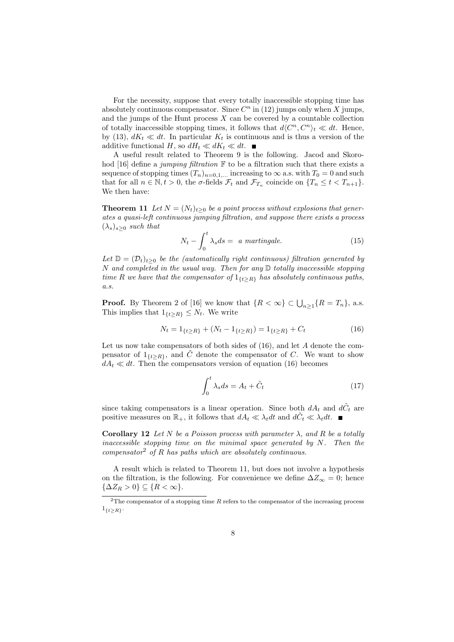For the necessity, suppose that every totally inaccessible stopping time has absolutely continuous compensator. Since  $C<sup>n</sup>$  in (12) jumps only when X jumps, and the jumps of the Hunt process  $X$  can be covered by a countable collection of totally inaccessible stopping times, it follows that  $d\langle C^n, C^n \rangle_t \ll dt$ . Hence, by (13),  $dK_t \ll dt$ . In particular  $K_t$  is continuous and is thus a version of the additive functional H, so  $dH_t \ll dK_t \ll dt$ .

A useful result related to Theorem 9 is the following. Jacod and Skorohod [16] define a jumping filtration  $\mathbb F$  to be a filtration such that there exists a sequence of stopping times  $(T_n)_{n=0,1,...}$  increasing to  $\infty$  a.s. with  $T_0 = 0$  and such that for all  $n \in \mathbb{N}, t > 0$ , the  $\sigma$ -fields  $\mathcal{F}_t$  and  $\mathcal{F}_{T_n}$  coincide on  $\{T_n \leq t < T_{n+1}\}.$ We then have:

**Theorem 11** Let  $N = (N_t)_{t>0}$  be a point process without explosions that generates a quasi-left continuous jumping filtration, and suppose there exists a process  $(\lambda_s)_{s>0}$  such that

$$
N_t - \int_0^t \lambda_s ds = a \text{ martingale.}
$$
 (15)

Let  $\mathbb{D} = (\mathcal{D}_t)_{t>0}$  be the (automatically right continuous) filtration generated by  $N$  and completed in the usual way. Then for any  $D$  totally inaccessible stopping time R we have that the compensator of  $1_{\{t\geq R\}}$  has absolutely continuous paths, a.s.

**Proof.** By Theorem 2 of [16] we know that  $\{R < \infty\} \subset \bigcup_{n \geq 1} \{R = T_n\}$ , a.s. This implies that  $1_{\{t>R\}} \leq N_t$ . We write

$$
N_t = 1_{\{t \ge R\}} + (N_t - 1_{\{t \ge R\}}) = 1_{\{t \ge R\}} + C_t
$$
\n(16)

Let us now take compensators of both sides of  $(16)$ , and let A denote the compensator of  $1_{\{t>R\}}$ , and  $\tilde{C}$  denote the compensator of C. We want to show  $dA_t \ll dt$ . Then the compensators version of equation (16) becomes

$$
\int_{0}^{t} \lambda_{s} ds = A_{t} + \tilde{C}_{t}
$$
\n(17)

since taking compensators is a linear operation. Since both  $dA_t$  and  $d\tilde{C}_t$  are positive measures on  $\mathbb{R}_+$ , it follows that  $dA_t \ll \lambda_t dt$  and  $d\tilde{C}_t \ll \lambda_t dt$ .

Corollary 12 Let N be a Poisson process with parameter  $\lambda$ , and R be a totally inaccessible stopping time on the minimal space generated by  $N$ . Then the compensator<sup>2</sup> of R has paths which are absolutely continuous.

A result which is related to Theorem 11, but does not involve a hypothesis on the filtration, is the following. For convenience we define  $\Delta Z_{\infty} = 0$ ; hence  $\{\Delta Z_R > 0\} \subseteq \{R < \infty\}.$ 

 $2$ The compensator of a stopping time R refers to the compensator of the increasing process  $1_{\{t\geq R\}}$ .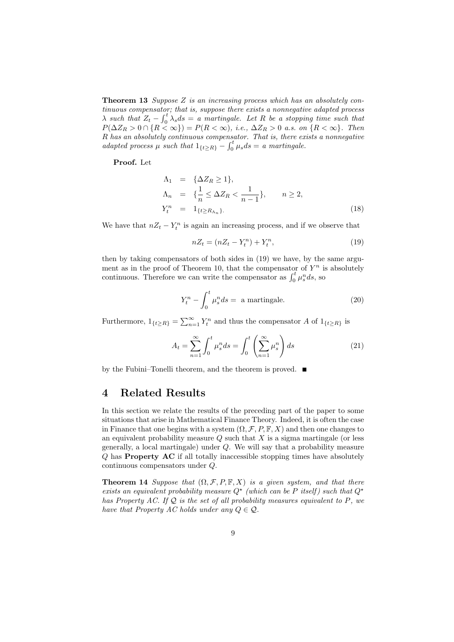**Theorem 13** Suppose  $Z$  is an increasing process which has an absolutely continuous compensator; that is, suppose there exists a nonnegative adapted process  $\lambda$  such that  $Z_t - \int_0^t \lambda_s ds = a$  martingale. Let R be a stopping time such that  $P(\Delta Z_R > 0 \cap \{R < \infty\}) = P(R < \infty)$ , i.e.,  $\Delta Z_R > 0$  a.s. on  $\{R < \infty\}$ . Then R has an absolutely continuous compensator. That is, there exists a nonnegative adapted process  $\mu$  such that  $1_{\{t \geq R\}} - \int_0^t \mu_s ds = a$  martingale.

#### Proof. Let

$$
\Lambda_1 = \{ \Delta Z_R \ge 1 \},
$$
\n
$$
\Lambda_n = \{ \frac{1}{n} \le \Delta Z_R < \frac{1}{n-1} \}, \qquad n \ge 2,
$$
\n
$$
Y_t^n = 1_{\{t \ge R_{\Lambda_n}\}}.
$$
\n(18)

We have that  $nZ_t - Y_t^n$  is again an increasing process, and if we observe that

$$
nZ_t = (nZ_t - Y_t^n) + Y_t^n, \t\t(19)
$$

then by taking compensators of both sides in (19) we have, by the same argument as in the proof of Theorem 10, that the compensator of  $Y^n$  is absolutely continuous. Therefore we can write the compensator as  $\int_0^t \mu_s^n ds$ , so

$$
Y_t^n - \int_0^t \mu_s^n ds = \text{ a martingale.} \tag{20}
$$

Furthermore,  $1_{\{t\geq R\}} = \sum_{n=1}^{\infty} Y_t^n$  and thus the compensator A of  $1_{\{t\geq R\}}$  is

$$
A_t = \sum_{n=1}^{\infty} \int_0^t \mu_s^n ds = \int_0^t \left(\sum_{n=1}^{\infty} \mu_s^n\right) ds \tag{21}
$$

by the Fubini–Tonelli theorem, and the theorem is proved.

### 4 Related Results

In this section we relate the results of the preceding part of the paper to some situations that arise in Mathematical Finance Theory. Indeed, it is often the case in Finance that one begins with a system  $(\Omega, \mathcal{F}, P, \mathbb{F}, X)$  and then one changes to an equivalent probability measure  $Q$  such that  $X$  is a sigma martingale (or less generally, a local martingale) under Q. We will say that a probability measure Q has Property AC if all totally inaccessible stopping times have absolutely continuous compensators under Q.

**Theorem 14** Suppose that  $(\Omega, \mathcal{F}, P, \mathbb{F}, X)$  is a given system, and that there exists an equivalent probability measure  $Q^*$  (which can be P itself) such that  $Q^*$ has Property AC. If  $Q$  is the set of all probability measures equivalent to P, we have that Property AC holds under any  $Q \in \mathcal{Q}$ .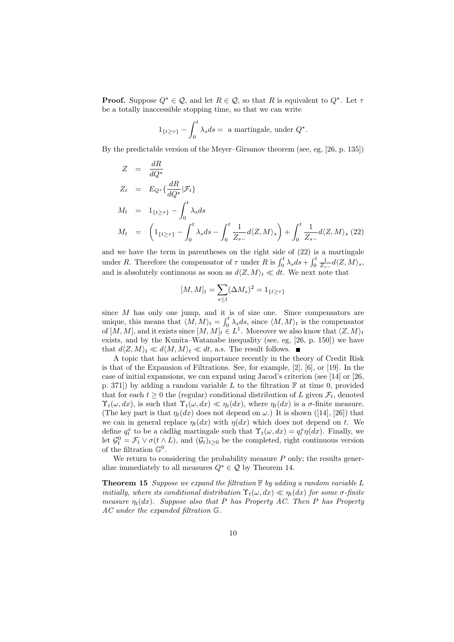**Proof.** Suppose  $Q^* \in \mathcal{Q}$ , and let  $R \in \mathcal{Q}$ , so that R is equivalent to  $Q^*$ . Let  $\tau$ be a totally inaccessible stopping time, so that we can write

$$
1_{\{t\geq\tau\}} - \int_0^t \lambda_s ds = \text{ a martingale, under } Q^*.
$$

By the predictable version of the Meyer–Girsanov theorem (see, eg, [26, p. 135])

$$
Z = \frac{dR}{dQ^*}
$$
  
\n
$$
Z_t = E_{Q^*} \{ \frac{dR}{dQ^*} | \mathcal{F}_t \}
$$
  
\n
$$
M_t = 1_{\{t \ge \tau\}} - \int_0^t \lambda_s ds
$$
  
\n
$$
M_t = \left( 1_{\{t \ge \tau\}} - \int_0^t \lambda_s ds - \int_0^t \frac{1}{Z_{s-}} d\langle Z, M \rangle_s \right) + \int_0^t \frac{1}{Z_{s-}} d\langle Z, M \rangle_s (22)
$$

and we have the term in parentheses on the right side of (22) is a martingale under R. Therefore the compensator of  $\tau$  under R is  $\int_0^t \lambda_s ds + \int_0^t \frac{1}{Z_{s-}} d\langle Z, M \rangle_s$ , and is absolutely continuous as soon as  $d\langle Z, M\rangle_t \ll dt$ . We next note that

$$
[M,M]_t = \sum_{s \le t} (\Delta M_s)^2 = 1_{\{t \ge \tau\}}
$$

since M has only one jump, and it is of size one. Since compensators are unique, this means that  $\langle M, M \rangle_t = \int_0^t \lambda_s ds$ , since  $\langle M, M \rangle_t$  is the compensator of  $[M, M]$ , and it exists since  $[M, M]_t \in L^1$ . Moreover we also know that  $\langle Z, M \rangle_t$ exists, and by the Kunita–Watanabe inequality (see, eg, [26, p. 150]) we have that  $d(Z, M)_t \ll d\langle M, M\rangle_t \ll dt$ , a.s. The result follows.

A topic that has achieved importance recently in the theory of Credit Risk is that of the Expansion of Filtrations. See, for example, [2], [6], or [19]. In the case of initial expansions, we can expand using Jacod's criterion (see [14] or [26, p. 371) by adding a random variable  $L$  to the filtration  $\mathbb F$  at time 0, provided that for each  $t \geq 0$  the (regular) conditional distribution of L given  $\mathcal{F}_t$ , denoted  $\Upsilon_t(\omega, dx)$ , is such that  $\Upsilon_t(\omega, dx) \ll \eta_t(dx)$ , where  $\eta_t(dx)$  is a  $\sigma$ -finite measure. (The key part is that  $\eta_t(dx)$  does not depend on  $\omega$ .) It is shown ([14], [26]) that we can in general replace  $\eta_t(dx)$  with  $\eta(dx)$  which does not depend on t. We define  $q_t^x$  to be a càdlàg martingale such that  $\Upsilon_t(\omega, dx) = q_t^x \eta(dx)$ . Finally, we let  $\mathcal{G}_t^0 = \mathcal{F}_t \vee \sigma(t \wedge L)$ , and  $(\mathcal{G}_t)_{t \geq 0}$  be the completed, right continuous version of the filtration  $\mathbb{G}^0$ .

We return to considering the probability measure  $P$  only; the results generalize immediately to all measures  $Q^* \in \mathcal{Q}$  by Theorem 14.

**Theorem 15** Suppose we expand the filtration  $\mathbb{F}$  by adding a random variable L initially, where its conditional distribution  $\Upsilon_t(\omega, dx) \ll \eta_t(dx)$  for some  $\sigma$ -finite measure  $\eta_t(dx)$ . Suppose also that P has Property AC. Then P has Property AC under the expanded filtration G.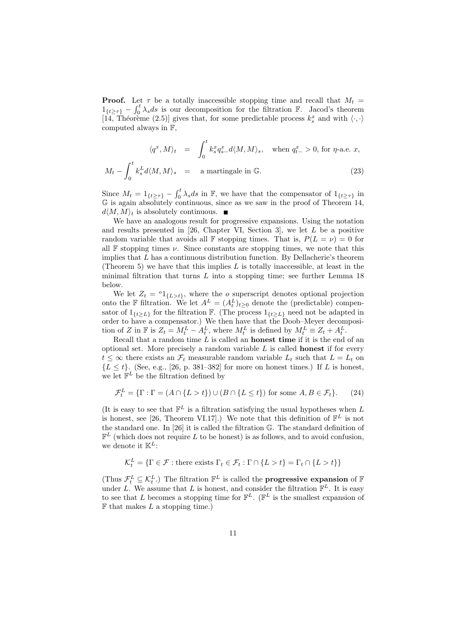**Proof.** Let  $\tau$  be a totally inaccessible stopping time and recall that  $M_t$  =  $1_{\{t\geq\tau\}}$  –  $\int_0^t \lambda_s ds$  is our decomposition for the filtration F. Jacod's theorem [14, Théorème (2.5)] gives that, for some predictable process  $k_s^x$  and with  $\langle \cdot, \cdot \rangle$ computed always in F,

$$
\langle q^x, M \rangle_t = \int_0^t k_s^x q_{s-}^x d\langle M, M \rangle_s, \text{ when } q_{t-}^x > 0 \text{, for } \eta\text{-a.e. } x,
$$

$$
M_t - \int_0^t k_s^L d\langle M, M \rangle_s = \text{ a martingale in } \mathbb{G}.
$$
 (23)

Since  $M_t = 1_{\{t \geq \tau\}} - \int_0^t \lambda_s ds$  in F, we have that the compensator of  $1_{\{t \geq \tau\}}$  in G is again absolutely continuous, since as we saw in the proof of Theorem 14,  $d\langle M, M\rangle_t$  is absolutely continuous.

We have an analogous result for progressive expansions. Using the notation and results presented in [26, Chapter VI, Section 3], we let L be a positive random variable that avoids all F stopping times. That is,  $P(L = \nu) = 0$  for all  $\mathbb F$  stopping times  $\nu$ . Since constants are stopping times, we note that this implies that  $L$  has a continuous distribution function. By Dellacherie's theorem (Theorem 5) we have that this implies  $L$  is totally inaccessible, at least in the minimal filtration that turns  $L$  into a stopping time; see further Lemma 18 below.

We let  $Z_t = {}^o1_{\{L>t\}}$ , where the *o* superscript denotes optional projection onto the F filtration. We let  $A^L = (A_t^L)_{t \geq 0}$  denote the (predictable) compensator of  $1_{\{t\geq L\}}$  for the filtration F. (The process  $1_{\{t\geq L\}}$  need not be adapted in order to have a compensator.) We then have that the Doob–Meyer decomposition of Z in F is  $Z_t = M_t^L - A_t^L$ , where  $M_t^L$  is defined by  $M_t^L \equiv Z_t + A_t^L$ .

Recall that a random time  $L$  is called an **honest time** if it is the end of an optional set. More precisely a random variable  $L$  is called **honest** if for every  $t \leq \infty$  there exists an  $\mathcal{F}_t$  measurable random variable  $L_t$  such that  $L = L_t$  on  ${L \le t}$ . (See, e.g., [26, p. 381–382] for more on honest times.) If L is honest, we let  $\mathbb{F}^L$  be the filtration defined by

$$
\mathcal{F}_t^L = \{ \Gamma : \Gamma = (A \cap \{L > t\}) \cup (B \cap \{L \le t\}) \text{ for some } A, B \in \mathcal{F}_t \}. \tag{24}
$$

(It is easy to see that  $\mathbb{F}^L$  is a filtration satisfying the usual hypotheses when L is honest, see [26, Theorem VI.17].) We note that this definition of  $\mathbb{F}^L$  is not the standard one. In [26] it is called the filtration G. The standard definition of  $\mathbb{F}^L$  (which does not require L to be honest) is as follows, and to avoid confusion, we denote it  $\mathbb{K}^L$ :

$$
\mathcal{K}_t^L = \{ \Gamma \in \mathcal{F} : \text{there exists } \Gamma_t \in \mathcal{F}_t : \Gamma \cap \{L > t\} = \Gamma_t \cap \{L > t\} \}
$$

(Thus  $\mathcal{F}_t^L \subseteq \mathcal{K}_t^L$ .) The filtration  $\mathbb{F}^L$  is called the **progressive expansion** of  $\mathbb{F}$ under L. We assume that L is honest, and consider the filtration  $\mathbb{F}^{L}$ . It is easy to see that L becomes a stopping time for  $\mathbb{F}^L$ . ( $\mathbb{F}^L$  is the smallest expansion of  $\mathbb F$  that makes  $L$  a stopping time.)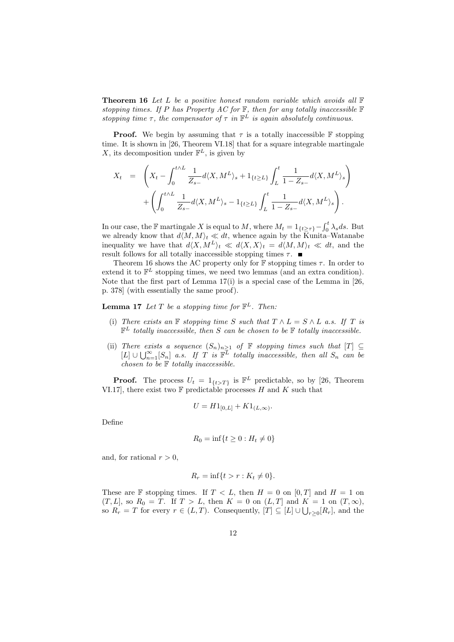**Theorem 16** Let L be a positive honest random variable which avoids all  $\mathbb{F}$ stopping times. If P has Property AC for  $\mathbb F$ , then for any totally inaccessible  $\mathbb F$ stopping time  $\tau$ , the compensator of  $\tau$  in  $\mathbb{F}^L$  is again absolutely continuous.

**Proof.** We begin by assuming that  $\tau$  is a totally inaccessible **F** stopping time. It is shown in [26, Theorem VI.18] that for a square integrable martingale X, its decomposition under  $\mathbb{F}^L$ , is given by

$$
X_t = \left(X_t - \int_0^{t \wedge L} \frac{1}{Z_{s-}} d\langle X, M^L \rangle_s + 1_{\{t \ge L\}} \int_L^t \frac{1}{1 - Z_{s-}} d\langle X, M^L \rangle_s + \left( \int_0^{t \wedge L} \frac{1}{Z_{s-}} d\langle X, M^L \rangle_s - 1_{\{t \ge L\}} \int_L^t \frac{1}{1 - Z_{s-}} d\langle X, M^L \rangle_s \right).
$$

In our case, the F martingale X is equal to M, where  $M_t = 1_{\{t \geq \tau\}} - \int_0^t \lambda_s ds$ . But we already know that  $d\langle M, M\rangle_t \ll dt$ , whence again by the Kunita–Watanabe inequality we have that  $d\langle X, M^L\rangle_t \ll d\langle X, X\rangle_t = d\langle M, M\rangle_t \ll dt$ , and the result follows for all totally inaccessible stopping times  $\tau$ .

Theorem 16 shows the AC property only for  $\mathbb F$  stopping times  $\tau$ . In order to extend it to  $\mathbb{F}^L$  stopping times, we need two lemmas (and an extra condition). Note that the first part of Lemma  $17(i)$  is a special case of the Lemma in [26,] p. 378] (with essentially the same proof).

**Lemma 17** Let T be a stopping time for  $\mathbb{F}^L$ . Then:

- (i) There exists an F stopping time S such that  $T \wedge L = S \wedge L$  a.s. If T is  $\mathbb{F}^L$  totally inaccessible, then S can be chosen to be  $\mathbb F$  totally inaccessible.
- (ii) There exists a sequence  $(S_n)_{n\geq 1}$  of  $\mathbb F$  stopping times such that  $[T] \subseteq$  $[L] \cup \bigcup_{n=1}^{\infty} [S_n]$  a.s. If T is  $\mathbb{F}^{\overline{L}}$  totally inaccessible, then all  $S_n$  can be chosen to be  $F$  totally inaccessible.

**Proof.** The process  $U_t = 1_{\{t>T\}}$  is  $\mathbb{F}^L$  predictable, so by [26, Theorem VI.17], there exist two  $\mathbb F$  predictable processes H and K such that

$$
U = H1_{[0,L]} + K1_{(L,\infty)}.
$$

Define

$$
R_0 = \inf\{t \ge 0 : H_t \ne 0\}
$$

and, for rational  $r > 0$ ,

$$
R_r = \inf\{t > r : K_t \neq 0\}.
$$

These are  $\mathbb F$  stopping times. If  $T < L$ , then  $H = 0$  on  $[0, T]$  and  $H = 1$  on  $(T, L]$ , so  $R_0 = T$ . If  $T > L$ , then  $K = 0$  on  $(L, T]$  and  $K = 1$  on  $(T, \infty)$ , so  $R_r = T$  for every  $r \in (L, T)$ . Consequently,  $[T] \subseteq [L] \cup \bigcup_{r \geq 0} [R_r]$ , and the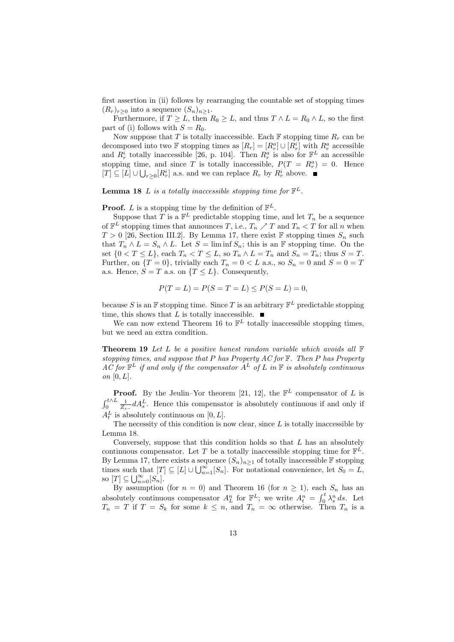first assertion in (ii) follows by rearranging the countable set of stopping times  $(R_r)_{r>0}$  into a sequence  $(S_n)_{n\geq 1}$ .

Furthermore, if  $T \geq L$ , then  $R_0 \geq L$ , and thus  $T \wedge L = R_0 \wedge L$ , so the first part of (i) follows with  $S = R_0$ .

Now suppose that T is totally inaccessible. Each  $\mathbb F$  stopping time  $R_r$  can be decomposed into two  $\mathbb F$  stopping times as  $[R_r] = [R_r^a] \cup [R_r^i]$  with  $R_r^a$  accessible and  $R_r^i$  totally inaccessible [26, p. 104]. Then  $R_r^a$  is also for  $\mathbb{F}^L$  an accessible stopping time, and since T is totally inaccessible,  $P(T = R_r^a) = 0$ . Hence  $[T] \subseteq [L] \cup \bigcup_{r \geq 0} [R_r^i]$  a.s. and we can replace  $R_r$  by  $R_r^i$  above.

**Lemma 18** L is a totally inaccessible stopping time for  $\mathbb{F}^L$ .

#### **Proof.** L is a stopping time by the definition of  $\mathbb{F}^L$ .

Suppose that T is a  $\mathbb{F}^L$  predictable stopping time, and let  $T_n$  be a sequence of  $\mathbb{F}^L$  stopping times that announces T, i.e.,  $T_n \nearrow T$  and  $T_n < T$  for all n when  $T > 0$  [26, Section III.2]. By Lemma 17, there exist F stopping times  $S_n$  such that  $T_n \wedge L = S_n \wedge L$ . Let  $S = \liminf S_n$ ; this is an F stopping time. On the set  $\{0 < T \le L\}$ , each  $T_n < T \le L$ , so  $T_n \wedge L = T_n$  and  $S_n = T_n$ ; thus  $S = T$ . Further, on  $\{T=0\}$ , trivially each  $T_n = 0 < L$  a.s., so  $S_n = 0$  and  $S = 0 = T$ a.s. Hence,  $S = T$  a.s. on  ${T \leq L}$ . Consequently,

$$
P(T = L) = P(S = T = L) \le P(S = L) = 0,
$$

because S is an  $\mathbb F$  stopping time. Since T is an arbitrary  $\mathbb F^L$  predictable stopping time, this shows that L is totally inaccessible.  $\blacksquare$ 

We can now extend Theorem 16 to  $\mathbb{F}^L$  totally inaccessible stopping times, but we need an extra condition.

**Theorem 19** Let L be a positive honest random variable which avoids all  $\mathbb{F}$ stopping times, and suppose that P has Property  $AC$  for  $\mathbb F$ . Then P has Property AC for  $\mathbb{F}^L$  if and only if the compensator  $A^L$  of L in  $\mathbb F$  is absolutely continuous on  $[0, L]$ .

**Proof.** By the Jeulin–Yor theorem [21, 12], the  $\mathbb{F}^L$  compensator of L is  $\int_0^{t \wedge L} \frac{1}{Z_{s-}} dA_s^L$ . Hence this compensator is absolutely continuous if and only if  $A_t^L$  is absolutely continuous on  $[0, L]$ .

The necessity of this condition is now clear, since  $L$  is totally inaccessible by Lemma 18.

Conversely, suppose that this condition holds so that  $L$  has an absolutely continuous compensator. Let T be a totally inaccessible stopping time for  $\mathbb{F}^{\tilde{L}}$ . By Lemma 17, there exists a sequence  $(S_n)_{n\geq 1}$  of totally inaccessible  $\mathbb F$  stopping times such that  $[T] \subseteq [L] \cup \bigcup_{n=1}^{\infty} [S_n]$ . For notational convenience, let  $S_0 = L$ , so  $[T] \subseteq \bigcup_{n=0}^{\infty} [S_n].$ 

By assumption (for  $n = 0$ ) and Theorem 16 (for  $n \ge 1$ ), each  $S_n$  has an absolutely continuous compensator  $A_L^n$  for  $\mathbb{F}^L$ ; we write  $A_t^n = \int_0^t \lambda_s^n ds$ . Let  $T_n = T$  if  $T = S_k$  for some  $k \leq n$ , and  $T_n = \infty$  otherwise. Then  $T_n$  is a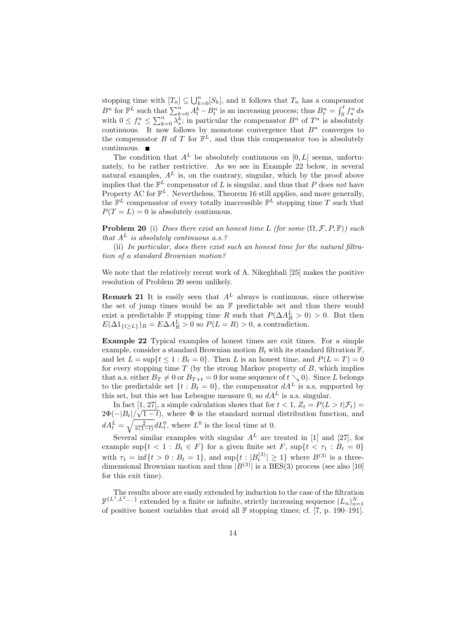stopping time with  $[T_n] \subseteq \bigcup_{k=0}^n [S_k]$ , and it follows that  $T_n$  has a compensator  $B^n$  for  $\mathbb{F}^L$  such that  $\sum_{k=0}^n A_t^k - B_t^n$  is an increasing process; thus  $B_t^n = \int_0^t f_s^n ds$ with  $0 \leq f_s^n \leq \sum_{k=0}^n \lambda_s^k$ ; in particular the compensator  $B^n$  of  $T^n$  is absolutely continuous. It now follows by monotone convergence that  $B<sup>n</sup>$  converges to the compensator B of T for  $\mathbb{F}^L$ , and thus this compensator too is absolutely continuous.

The condition that  $A<sup>L</sup>$  be absolutely continuous on [0, L] seems, unfortunately, to be rather restrictive. As we see in Example 22 below, in several natural examples,  $A<sup>L</sup>$  is, on the contrary, singular, which by the proof above implies that the  $\mathbb{F}^L$  compensator of L is singular, and thus that P does not have Property AC for  $\mathbb{F}^L$ . Nevertheless, Theorem 16 still applies, and more generally, the  $\mathbb{F}^L$  compensator of every totally inaccessible  $\mathbb{F}^L$  stopping time T such that  $P(T = L) = 0$  is absolutely continuous.

**Problem 20** (i) Does there exist an honest time L (for some  $(\Omega, \mathcal{F}, P, \mathbb{F})$ ) such that  $A<sup>L</sup>$  is absolutely continuous a.s.?

(ii) In particular, does there exist such an honest time for the natural filtration of a standard Brownian motion?

We note that the relatively recent work of A. Nikeghbali [25] makes the positive resolution of Problem 20 seem unlikely.

**Remark 21** It is easily seen that  $A<sup>L</sup>$  always is continuous, since otherwise the set of jump times would be an F predictable set and thus there would exist a predictable F stopping time R such that  $P(\Delta A_R^L > 0) > 0$ . But then  $E(\Delta 1_{\{t\geq L\}})_R = E \Delta A_R^L > 0$  so  $P(L = R) > 0$ , a contradiction.

Example 22 Typical examples of honest times are exit times. For a simple example, consider a standard Brownian motion  $B_t$  with its standard filtration  $\mathbb{F}$ . and let  $L = \sup\{t \leq 1 : B_t = 0\}$ . Then L is an honest time, and  $P(L = T) = 0$ for every stopping time  $T$  (by the strong Markov property of  $B$ , which implies that a.s. either  $B_T \neq 0$  or  $B_{T+t} = 0$  for some sequence of  $t \searrow 0$ ). Since L belongs to the predictable set  $\{t : B_t = 0\}$ , the compensator  $dA^L$  is a.s. supported by this set, but this set has Lebesgue measure 0, so  $dA<sup>L</sup>$  is a.s. singular.

In fact  $[1, 27]$ , a simple calculation shows that for  $t < 1$ ,  $Z_t = P(L > t | \mathcal{F}_t)$  $2\Phi(-|B_t|/\sqrt{1-t})$ , where  $\Phi$  is the standard normal distribution function, and  $dA_t^L = \sqrt{\frac{2}{\pi(1-t)}} dL_t^0$ , where  $L^0$  is the local time at 0.

Several similar examples with singular  $A<sup>L</sup>$  are treated in [1] and [27], for example sup $\{t < 1 : B_t \in F\}$  for a given finite set F, sup $\{t < \tau_1 : B_t = 0\}$ with  $\tau_1 = \inf\{t > 0 : B_t = 1\}$ , and  $\sup\{t : |B_t^{(3)}| \ge 1\}$  where  $B^{(3)}$  is a threedimensional Brownian motion and thus  $|B^{(3)}|$  is a BES(3) process (see also [10] for this exit time).

The results above are easily extended by induction to the case of the filtration  $\mathbb{F}^{\{L^1, L^2, \dots\}}$  extended by a finite or infinite, strictly increasing sequence  $(L_n)_{n=1}^N$ of positive honest variables that avoid all  $\mathbb F$  stopping times; cf. [7, p. 190–191].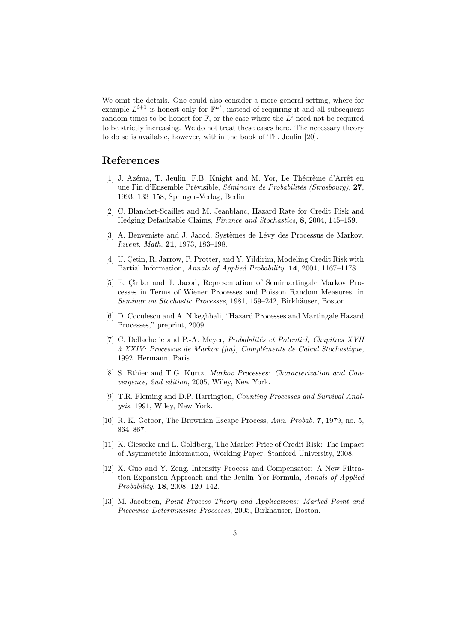We omit the details. One could also consider a more general setting, where for example  $L^{i+1}$  is honest only for  $\mathbb{F}^{L^i}$ , instead of requiring it and all subsequent random times to be honest for  $\mathbb{F}$ , or the case where the  $L^i$  need not be required to be strictly increasing. We do not treat these cases here. The necessary theory to do so is available, however, within the book of Th. Jeulin [20].

## References

- [1] J. Azéma, T. Jeulin, F.B. Knight and M. Yor, Le Théorème d'Arrêt en une Fin d'Ensemble Prévisible, Séminaire de Probabilités (Strasbourg), 27, 1993, 133–158, Springer-Verlag, Berlin
- [2] C. Blanchet-Scaillet and M. Jeanblanc, Hazard Rate for Credit Risk and Hedging Defaultable Claims, Finance and Stochastics, 8, 2004, 145–159.
- [3] A. Benveniste and J. Jacod, Systèmes de Lévy des Processus de Markov. Invent. Math. 21, 1973, 183–198.
- [4] U. Çetin, R. Jarrow, P. Protter, and Y. Yildirim, Modeling Credit Risk with Partial Information, Annals of Applied Probability, 14, 2004, 1167–1178.
- [5] E. Cinlar and J. Jacod, Representation of Semimartingale Markov Processes in Terms of Wiener Processes and Poisson Random Measures, in Seminar on Stochastic Processes, 1981, 159–242, Birkhäuser, Boston
- [6] D. Coculescu and A. Nikeghbali, "Hazard Processes and Martingale Hazard Processes," preprint, 2009.
- [7] C. Dellacherie and P.-A. Meyer, *Probabilités et Potentiel, Chapitres XVII* à XXIV: Processus de Markov (fin), Compléments de Calcul Stochastique, 1992, Hermann, Paris.
- [8] S. Ethier and T.G. Kurtz, Markov Processes: Characterization and Convergence, 2nd edition, 2005, Wiley, New York.
- [9] T.R. Fleming and D.P. Harrington, Counting Processes and Survival Analysis, 1991, Wiley, New York.
- [10] R. K. Getoor, The Brownian Escape Process, Ann. Probab. 7, 1979, no. 5, 864–867.
- [11] K. Giesecke and L. Goldberg, The Market Price of Credit Risk: The Impact of Asymmetric Information, Working Paper, Stanford University, 2008.
- [12] X. Guo and Y. Zeng, Intensity Process and Compensator: A New Filtration Expansion Approach and the Jeulin–Yor Formula, Annals of Applied Probability, 18, 2008, 120–142.
- [13] M. Jacobsen, Point Process Theory and Applications: Marked Point and Piecewise Deterministic Processes, 2005, Birkhäuser, Boston.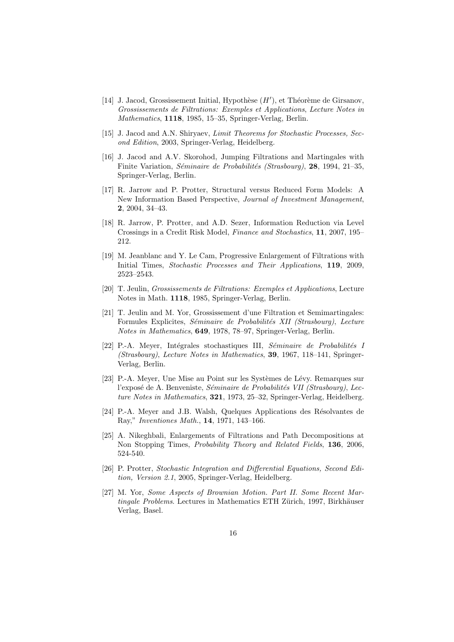- [14] J. Jacod, Grossissement Initial, Hypothèse  $(H')$ , et Théorème de Girsanov, Grossissements de Filtrations: Exemples et Applications, Lecture Notes in Mathematics, 1118, 1985, 15–35, Springer-Verlag, Berlin.
- [15] J. Jacod and A.N. Shiryaev, Limit Theorems for Stochastic Processes, Second Edition, 2003, Springer-Verlag, Heidelberg.
- [16] J. Jacod and A.V. Skorohod, Jumping Filtrations and Martingales with Finite Variation, *Séminaire de Probabilités (Strasbourg)*, 28, 1994, 21–35, Springer-Verlag, Berlin.
- [17] R. Jarrow and P. Protter, Structural versus Reduced Form Models: A New Information Based Perspective, Journal of Investment Management, 2, 2004, 34–43.
- [18] R. Jarrow, P. Protter, and A.D. Sezer, Information Reduction via Level Crossings in a Credit Risk Model, Finance and Stochastics, 11, 2007, 195– 212.
- [19] M. Jeanblanc and Y. Le Cam, Progressive Enlargement of Filtrations with Initial Times, Stochastic Processes and Their Applications, 119, 2009. 2523–2543.
- [20] T. Jeulin, Grossissements de Filtrations: Exemples et Applications, Lecture Notes in Math. 1118, 1985, Springer-Verlag, Berlin.
- [21] T. Jeulin and M. Yor, Grossissement d'une Filtration et Semimartingales: Formules Explicites, Séminaire de Probabilités XII (Strasbourg), Lecture Notes in Mathematics, 649, 1978, 78–97, Springer-Verlag, Berlin.
- [22] P.-A. Meyer, Intégrales stochastiques III, Séminaire de Probabilités I (Strasbourg), Lecture Notes in Mathematics, 39, 1967, 118–141, Springer-Verlag, Berlin.
- [23] P.-A. Meyer, Une Mise au Point sur les Systèmes de Lévy. Remarques sur l'exposé de A. Benveniste, Séminaire de Probabilités VII (Strasbourg), Lecture Notes in Mathematics, 321, 1973, 25–32, Springer-Verlag, Heidelberg.
- [24] P.-A. Meyer and J.B. Walsh, Quelques Applications des Résolvantes de Ray," Inventiones Math., 14, 1971, 143–166.
- [25] A. Nikeghbali, Enlargements of Filtrations and Path Decompositions at Non Stopping Times, Probability Theory and Related Fields, 136, 2006, 524-540.
- [26] P. Protter, Stochastic Integration and Differential Equations, Second Edition, Version 2.1, 2005, Springer-Verlag, Heidelberg.
- [27] M. Yor, Some Aspects of Brownian Motion. Part II. Some Recent Martingale Problems. Lectures in Mathematics ETH Zürich, 1997, Birkhäuser Verlag, Basel.